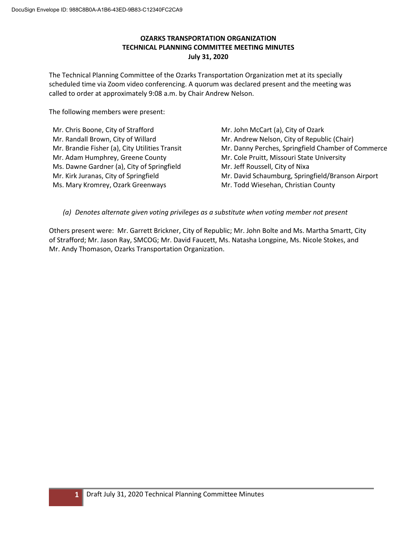# **OZARKS TRANSPORTATION ORGANIZATION TECHNICAL PLANNING COMMITTEE MEETING MINUTES July 31, 2020**

The Technical Planning Committee of the Ozarks Transportation Organization met at its specially scheduled time via Zoom video conferencing. A quorum was declared present and the meeting was called to order at approximately 9:08 a.m. by Chair Andrew Nelson.

The following members were present:

Mr. Chris Boone, City of Strafford Mr. Randall Brown, City of Willard Mr. Brandie Fisher (a), City Utilities Transit Mr. Adam Humphrey, Greene County Ms. Dawne Gardner (a), City of Springfield Mr. Kirk Juranas, City of Springfield Ms. Mary Kromrey, Ozark Greenways

Mr. John McCart (a), City of Ozark Mr. Andrew Nelson, City of Republic (Chair) Mr. Danny Perches, Springfield Chamber of Commerce Mr. Cole Pruitt, Missouri State University Mr. Jeff Roussell, City of Nixa Mr. David Schaumburg, Springfield/Branson Airport Mr. Todd Wiesehan, Christian County

*(a) Denotes alternate given voting privileges as a substitute when voting member not present*

Others present were: Mr. Garrett Brickner, City of Republic; Mr. John Bolte and Ms. Martha Smartt, City of Strafford; Mr. Jason Ray, SMCOG; Mr. David Faucett, Ms. Natasha Longpine, Ms. Nicole Stokes, and Mr. Andy Thomason, Ozarks Transportation Organization.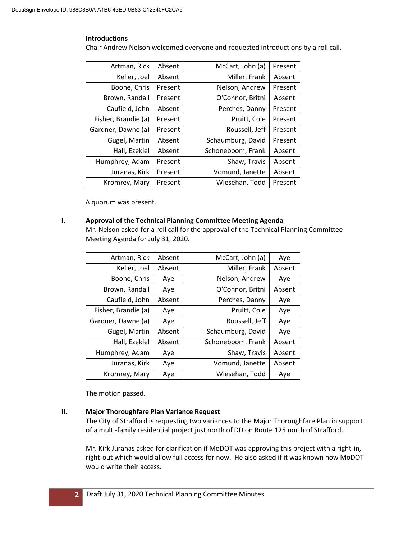### **Introductions**

Chair Andrew Nelson welcomed everyone and requested introductions by a roll call.

| Artman, Rick        | Absent  | McCart, John (a)  | Present |
|---------------------|---------|-------------------|---------|
| Keller, Joel        | Absent  | Miller, Frank     | Absent  |
| Boone, Chris        | Present | Nelson, Andrew    | Present |
| Brown, Randall      | Present | O'Connor, Britni  | Absent  |
| Caufield, John      | Absent  | Perches, Danny    | Present |
| Fisher, Brandie (a) | Present | Pruitt, Cole      | Present |
| Gardner, Dawne (a)  | Present | Roussell, Jeff    | Present |
| Gugel, Martin       | Absent  | Schaumburg, David | Present |
| Hall, Ezekiel       | Absent  | Schoneboom, Frank | Absent  |
| Humphrey, Adam      | Present | Shaw, Travis      | Absent  |
| Juranas, Kirk       | Present | Vomund, Janette   | Absent  |
| Kromrey, Mary       | Present | Wiesehan, Todd    | Present |

A quorum was present.

### **I. Approval of the Technical Planning Committee Meeting Agenda**

Mr. Nelson asked for a roll call for the approval of the Technical Planning Committee Meeting Agenda for July 31, 2020.

| Artman, Rick        | Absent | McCart, John (a)  | Aye    |
|---------------------|--------|-------------------|--------|
| Keller, Joel        | Absent | Miller, Frank     | Absent |
| Boone, Chris        | Aye    | Nelson, Andrew    | Aye    |
| Brown, Randall      | Aye    | O'Connor, Britni  | Absent |
| Caufield, John      | Absent | Perches, Danny    | Aye    |
| Fisher, Brandie (a) | Aye    | Pruitt, Cole      | Aye    |
| Gardner, Dawne (a)  | Aye    | Roussell, Jeff    | Aye    |
| Gugel, Martin       | Absent | Schaumburg, David | Aye    |
| Hall, Ezekiel       | Absent | Schoneboom, Frank | Absent |
| Humphrey, Adam      | Aye    | Shaw, Travis      | Absent |
| Juranas, Kirk       | Aye    | Vomund, Janette   | Absent |
| Kromrey, Mary       | Aye    | Wiesehan, Todd    | Aye    |

The motion passed.

# **II. Major Thoroughfare Plan Variance Request**

The City of Strafford is requesting two variances to the Major Thoroughfare Plan in support of a multi-family residential project just north of DD on Route 125 north of Strafford.

Mr. Kirk Juranas asked for clarification if MoDOT was approving this project with a right-in, right-out which would allow full access for now. He also asked if it was known how MoDOT would write their access.